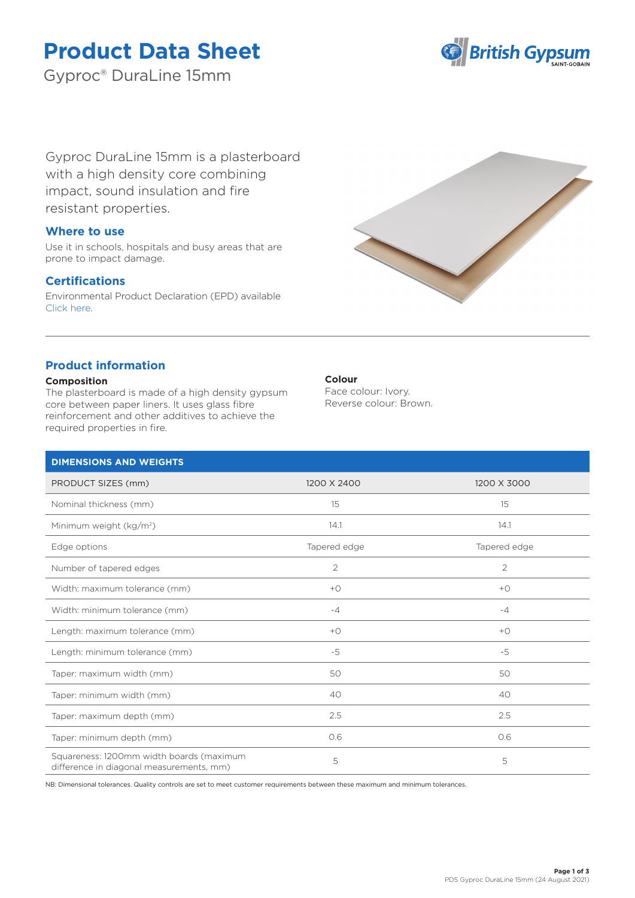# **Product Data Sheet**

Gyproc® DuraLine 15mm



Gyproc DuraLine 15mm is a plasterboard with a high density core combining impact, sound insulation and fire resistant properties.

## **Where to use**

Use it in schools, hospitals and busy areas that are prone to impact damage.

## **Certifications**

Environmental Product Declaration (EPD) available [Click here.](https://www.british-gypsum.com/EPD)



## **Product information**

## **Composition**

The plasterboard is made of a high density gypsum core between paper liners. It uses glass fibre reinforcement and other additives to achieve the required properties in fire.

## **Colour**

Face colour: Ivory. Reverse colour: Brown.

| <b>DIMENSIONS AND WEIGHTS</b>                                                        |              |                |
|--------------------------------------------------------------------------------------|--------------|----------------|
| PRODUCT SIZES (mm)                                                                   | 1200 X 2400  | 1200 X 3000    |
| Nominal thickness (mm)                                                               | 15           | 15             |
| Minimum weight (kg/m <sup>2</sup> )                                                  | 14.1         | 14.1           |
| Edge options                                                                         | Tapered edge | Tapered edge   |
| Number of tapered edges                                                              | 2            | $\overline{2}$ |
| Width: maximum tolerance (mm)                                                        | $+O$         | $+$ $\bigcirc$ |
| Width: minimum tolerance (mm)                                                        | $-4$         | $-4$           |
| Length: maximum tolerance (mm)                                                       | $+O$         | $+$ $\bigcirc$ |
| Length: minimum tolerance (mm)                                                       | $-5$         | $-5$           |
| Taper: maximum width (mm)                                                            | 50           | 50             |
| Taper: minimum width (mm)                                                            | 40           | 40             |
| Taper: maximum depth (mm)                                                            | 2.5          | 2.5            |
| Taper: minimum depth (mm)                                                            | 0.6          | 0.6            |
| Squareness: 1200mm width boards (maximum<br>difference in diagonal measurements, mm) | 5            | 5              |

NB: Dimensional tolerances. Quality controls are set to meet customer requirements between these maximum and minimum tolerances.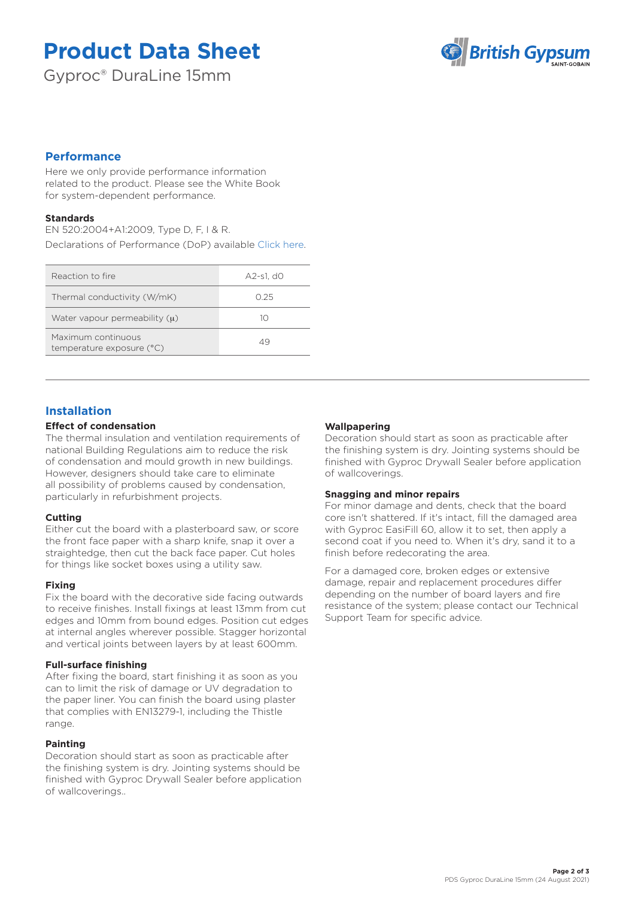# **Product Data Sheet**

Gyproc® DuraLine 15mm



## **Performance**

Here we only provide performance information related to the product. Please see the White Book for system-dependent performance.

## **Standards**

EN 520:2004+A1:2009, Type D, F, I & R. Declarations of Performance (DoP) available [Click here.](https://www.british-gypsum.com/DoP)

| Reaction to fire                                | A2-s1. d0 |
|-------------------------------------------------|-----------|
| Thermal conductivity (W/mK)                     | O 25      |
| Water vapour permeability $(u)$                 | 10        |
| Maximum continuous<br>temperature exposure (°C) | 49        |

# **Installation**

## **Effect of condensation**

The thermal insulation and ventilation requirements of national Building Regulations aim to reduce the risk of condensation and mould growth in new buildings. However, designers should take care to eliminate all possibility of problems caused by condensation, particularly in refurbishment projects.

## **Cutting**

Either cut the board with a plasterboard saw, or score the front face paper with a sharp knife, snap it over a straightedge, then cut the back face paper. Cut holes for things like socket boxes using a utility saw.

## **Fixing**

Fix the board with the decorative side facing outwards to receive finishes. Install fixings at least 13mm from cut edges and 10mm from bound edges. Position cut edges at internal angles wherever possible. Stagger horizontal and vertical joints between layers by at least 600mm.

## **Full-surface finishing**

After fixing the board, start finishing it as soon as you can to limit the risk of damage or UV degradation to the paper liner. You can finish the board using plaster that complies with EN13279-1, including the Thistle range.

## **Painting**

Decoration should start as soon as practicable after the finishing system is dry. Jointing systems should be finished with Gyproc Drywall Sealer before application of wallcoverings..

## **Wallpapering**

Decoration should start as soon as practicable after the finishing system is dry. Jointing systems should be finished with Gyproc Drywall Sealer before application of wallcoverings.

## **Snagging and minor repairs**

For minor damage and dents, check that the board core isn't shattered. If it's intact, fill the damaged area with Gyproc EasiFill 60, allow it to set, then apply a second coat if you need to. When it's dry, sand it to a finish before redecorating the area.

For a damaged core, broken edges or extensive damage, repair and replacement procedures differ depending on the number of board layers and fire resistance of the system; please contact our Technical Support Team for specific advice.